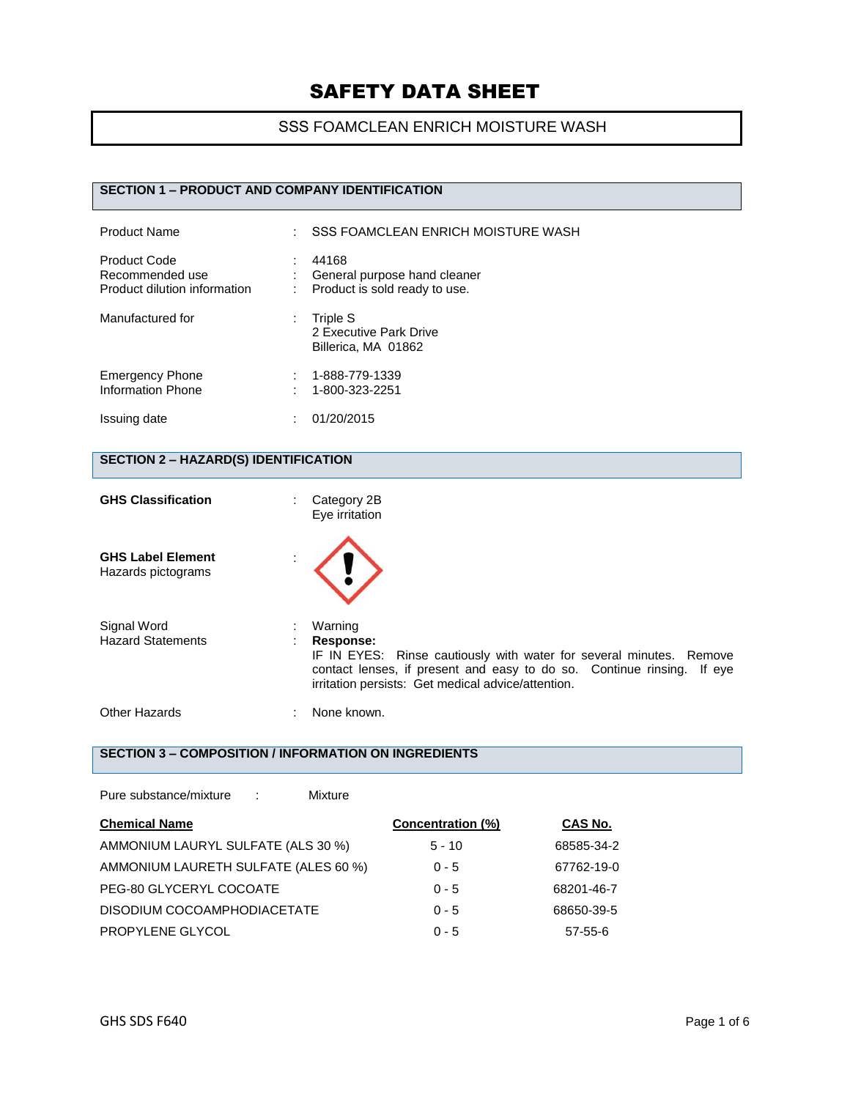### SSS FOAMCLEAN ENRICH MOISTURE WASH

# **SECTION 1 – PRODUCT AND COMPANY IDENTIFICATION**

| <b>Product Name</b>                                             | ÷ | <b>SSS FOAMCLEAN ENRICH MOISTURE WASH</b>                              |
|-----------------------------------------------------------------|---|------------------------------------------------------------------------|
| Product Code<br>Recommended use<br>Product dilution information |   | 44168<br>General purpose hand cleaner<br>Product is sold ready to use. |
| Manufactured for                                                | ÷ | Triple S<br>2 Executive Park Drive<br>Billerica, MA 01862              |
| <b>Emergency Phone</b><br><b>Information Phone</b>              |   | 1-888-779-1339<br>1-800-323-2251                                       |
| Issuing date                                                    | t | 01/20/2015                                                             |

### **SECTION 2 – HAZARD(S) IDENTIFICATION**

| <b>GHS Classification</b>                      | Category 2B<br>٠<br>Eye irritation                                                                                                                                                                                          |  |
|------------------------------------------------|-----------------------------------------------------------------------------------------------------------------------------------------------------------------------------------------------------------------------------|--|
| <b>GHS Label Element</b><br>Hazards pictograms |                                                                                                                                                                                                                             |  |
| Signal Word<br><b>Hazard Statements</b>        | Warning<br>Response:<br>IF IN EYES: Rinse cautiously with water for several minutes. Remove<br>contact lenses, if present and easy to do so. Continue rinsing. If eye<br>irritation persists: Get medical advice/attention. |  |
| Other Hazards                                  | None known.                                                                                                                                                                                                                 |  |

# **SECTION 3 – COMPOSITION / INFORMATION ON INGREDIENTS**

| Pure substance/mixture<br>Mixture<br>- 11 |                   |            |
|-------------------------------------------|-------------------|------------|
| <b>Chemical Name</b>                      | Concentration (%) | CAS No.    |
| AMMONIUM LAURYL SULFATE (ALS 30 %)        | $5 - 10$          | 68585-34-2 |
| AMMONIUM LAURETH SULFATE (ALES 60 %)      | $0 - 5$           | 67762-19-0 |
| PEG-80 GLYCERYL COCOATE                   | $0 - 5$           | 68201-46-7 |
| DISODIUM COCOAMPHODIACETATE               | $0 - 5$           | 68650-39-5 |
| PROPYLENE GLYCOL                          | $0 - 5$           | 57-55-6    |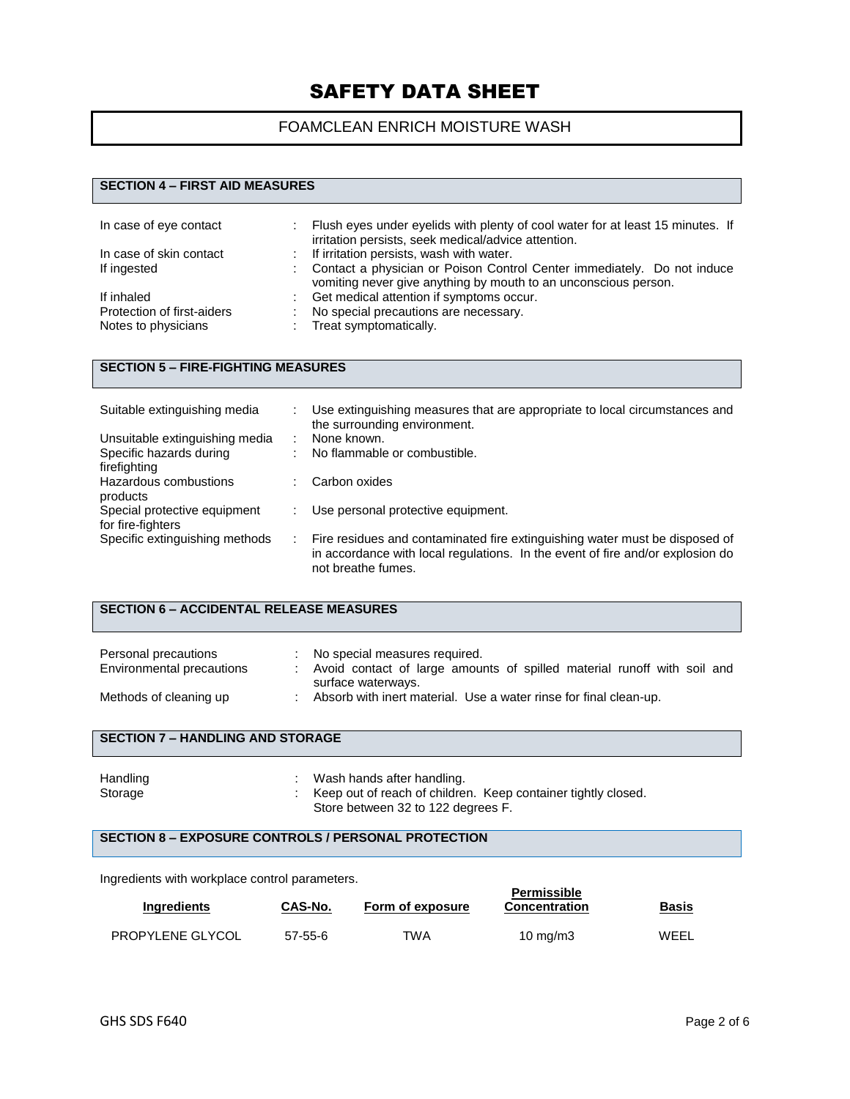## FOAMCLEAN ENRICH MOISTURE WASH

# **SECTION 4 – FIRST AID MEASURES**

| In case of eye contact     | Flush eyes under eyelids with plenty of cool water for at least 15 minutes. If<br>irritation persists, seek medical/advice attention.      |
|----------------------------|--------------------------------------------------------------------------------------------------------------------------------------------|
| In case of skin contact    | If irritation persists, wash with water.                                                                                                   |
| If ingested                | Contact a physician or Poison Control Center immediately. Do not induce<br>vomiting never give anything by mouth to an unconscious person. |
| If inhaled                 | Get medical attention if symptoms occur.                                                                                                   |
| Protection of first-aiders | No special precautions are necessary.                                                                                                      |
| Notes to physicians        | Treat symptomatically.                                                                                                                     |

# **SECTION 5 – FIRE-FIGHTING MEASURES**

| Suitable extinguishing media                      | Use extinguishing measures that are appropriate to local circumstances and<br>the surrounding environment.                                                                          |
|---------------------------------------------------|-------------------------------------------------------------------------------------------------------------------------------------------------------------------------------------|
| Unsuitable extinguishing media                    | None known.                                                                                                                                                                         |
| Specific hazards during                           | No flammable or combustible.                                                                                                                                                        |
| firefighting<br>Hazardous combustions             | Carbon oxides                                                                                                                                                                       |
| products                                          |                                                                                                                                                                                     |
| Special protective equipment<br>for fire-fighters | Use personal protective equipment.                                                                                                                                                  |
| Specific extinguishing methods                    | Fire residues and contaminated fire extinguishing water must be disposed of<br>in accordance with local regulations. In the event of fire and/or explosion do<br>not breathe fumes. |

#### **SECTION 6 – ACCIDENTAL RELEASE MEASURES**

| Personal precautions<br>Environmental precautions | No special measures required.<br>Avoid contact of large amounts of spilled material runoff with soil and |
|---------------------------------------------------|----------------------------------------------------------------------------------------------------------|
|                                                   | surface waterways.                                                                                       |
| Methods of cleaning up                            | Absorb with inert material. Use a water rinse for final clean-up.                                        |

#### **SECTION 7 – HANDLING AND STORAGE**

| Handling | Wash hands after handling.                                    |
|----------|---------------------------------------------------------------|
| Storage  | Keep out of reach of children. Keep container tightly closed. |
|          | Store between 32 to 122 degrees F.                            |

#### **SECTION 8 – EXPOSURE CONTROLS / PERSONAL PROTECTION**

Ingredients with workplace control parameters.

| <b>Ingredients</b>      | CAS-No.       | Form of exposure | <b>Permissible</b><br>Concentration | <b>Basis</b><br>____ |
|-------------------------|---------------|------------------|-------------------------------------|----------------------|
| <b>PROPYLENE GLYCOL</b> | $57 - 55 - 6$ | TWA              | 10 mg/m $3$                         | WEEL                 |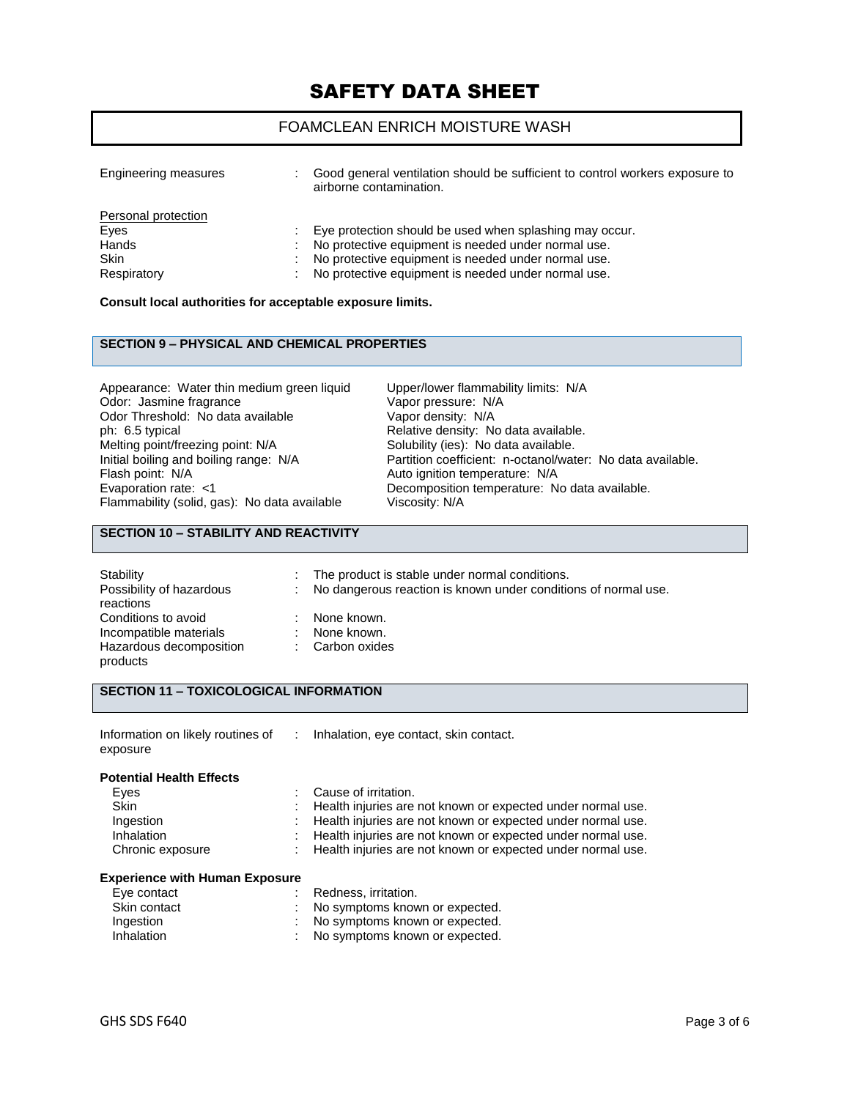### FOAMCLEAN ENRICH MOISTURE WASH

| Engineering measures                                               | Good general ventilation should be sufficient to control workers exposure to<br>airborne contamination.                                                                                                                      |
|--------------------------------------------------------------------|------------------------------------------------------------------------------------------------------------------------------------------------------------------------------------------------------------------------------|
| Personal protection<br>Eyes<br>Hands<br><b>Skin</b><br>Respiratory | Eye protection should be used when splashing may occur.<br>No protective equipment is needed under normal use.<br>No protective equipment is needed under normal use.<br>No protective equipment is needed under normal use. |

#### **Consult local authorities for acceptable exposure limits.**

#### **SECTION 9 – PHYSICAL AND CHEMICAL PROPERTIES**

Appearance: Water thin medium green liquid Upper/lower flammability limits: N/A<br>Odor: Jasmine fragrance Vapor pressure: N/A Odor: Jasmine fragrance<br>
Odor Threshold: No data available<br>
Vapor density: N/A Odor Threshold: No data available<br>ph: 6.5 typical ph: 6.5 typical ph: 6.5 typical consider the Relative density: No data available.<br>
Melting point/freezing point: N/A Solubility (ies): No data available. Melting point/freezing point: N/A Solubility (ies): No data available.<br>
Initial boiling and boiling range: N/A Partition coefficient: n-octanol/wat Flash point: N/A<br>
Evaporation rate: <1 Channel Autor: Necomposition temperature: N/A Flammability (solid, gas): No data available

Initial boiling and boiling range: N/A Partition coefficient: n-octanol/water: No data available.<br>Flash point: N/A Class Auto ignition temperature: N/A Decomposition temperature: No data available.<br>Viscosity: N/A

#### **SECTION 10 – STABILITY AND REACTIVITY**

| Stability                | ÷.  | The product is stable under normal conditions.                 |
|--------------------------|-----|----------------------------------------------------------------|
| Possibility of hazardous | t i | No dangerous reaction is known under conditions of normal use. |
| reactions                |     |                                                                |
| Conditions to avoid      | ٠   | None known.                                                    |
| Incompatible materials   | ٠.  | None known.                                                    |
| Hazardous decomposition  |     | : Carbon oxides                                                |
| products                 |     |                                                                |

#### **SECTION 11 – TOXICOLOGICAL INFORMATION**

| Information on likely routines of | : Inhalation, eye contact, skin contact. |
|-----------------------------------|------------------------------------------|
| exposure                          |                                          |

#### **Potential Health Effects**

| Eyes              | : Cause of irritation.                                        |
|-------------------|---------------------------------------------------------------|
| <b>Skin</b>       | : Health injuries are not known or expected under normal use. |
| Ingestion         | : Health injuries are not known or expected under normal use. |
| <b>Inhalation</b> | : Health injuries are not known or expected under normal use. |
| Chronic exposure  | : Health injuries are not known or expected under normal use. |
|                   |                                                               |

#### **Experience with Human Exposure**

| Eye contact  | : Redness, irritation.           |
|--------------|----------------------------------|
| Skin contact | : No symptoms known or expected. |
| Ingestion    | : No symptoms known or expected. |
| Inhalation   | : No symptoms known or expected. |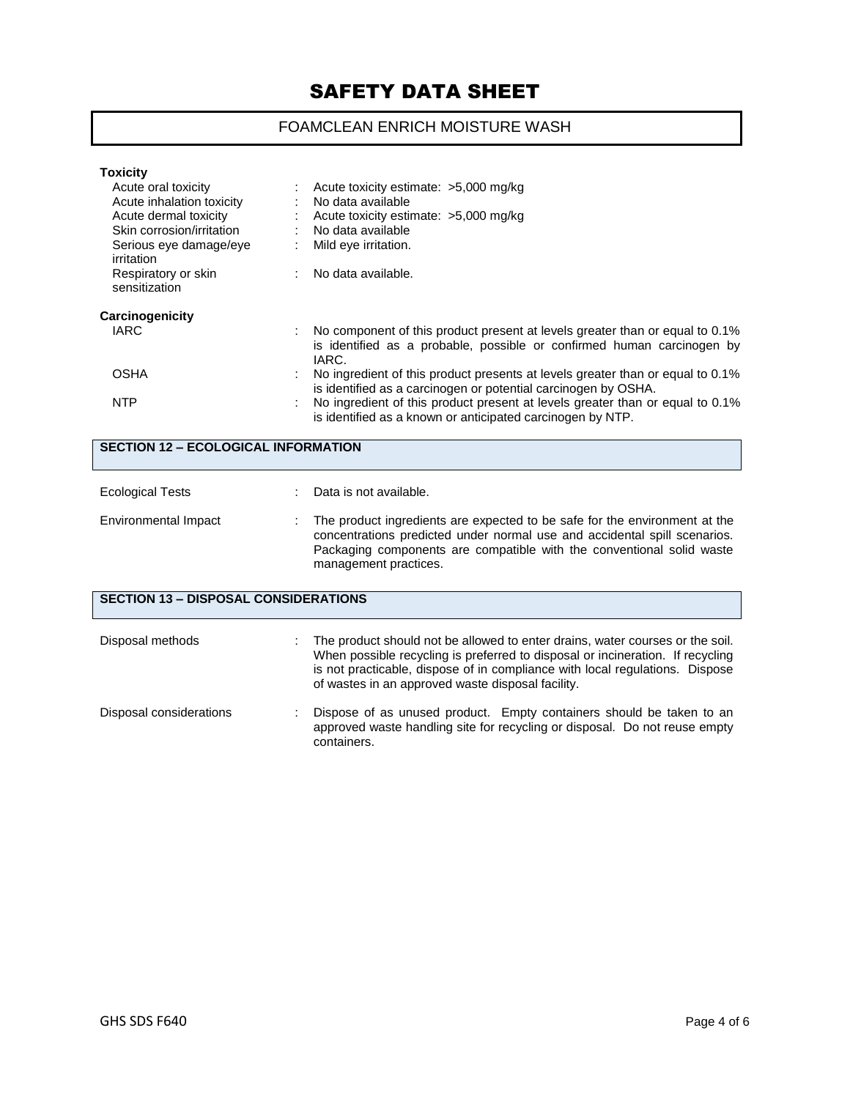# FOAMCLEAN ENRICH MOISTURE WASH

| <b>Toxicity</b><br>Acute oral toxicity                                          |   | Acute toxicity estimate: >5,000 mg/kg                                                                                                                           |
|---------------------------------------------------------------------------------|---|-----------------------------------------------------------------------------------------------------------------------------------------------------------------|
| Acute inhalation toxicity<br>Acute dermal toxicity<br>Skin corrosion/irritation |   | No data available<br>Acute toxicity estimate: >5,000 mg/kg<br>No data available                                                                                 |
| Serious eye damage/eye<br>irritation                                            | ÷ | Mild eye irritation.                                                                                                                                            |
| Respiratory or skin<br>sensitization                                            |   | : No data available.                                                                                                                                            |
| Carcinogenicity                                                                 |   |                                                                                                                                                                 |
| IARC                                                                            |   | No component of this product present at levels greater than or equal to 0.1%<br>is identified as a probable, possible or confirmed human carcinogen by<br>IARC. |
| <b>OSHA</b>                                                                     |   | No ingredient of this product presents at levels greater than or equal to 0.1%<br>is identified as a carcinogen or potential carcinogen by OSHA.                |
| <b>NTP</b>                                                                      |   | No ingredient of this product present at levels greater than or equal to 0.1%<br>is identified as a known or anticipated carcinogen by NTP.                     |

| <b>SECTION 12 - ECOLOGICAL INFORMATION</b>  |  |                                                                                                                                                                                                                                                                                                      |  |
|---------------------------------------------|--|------------------------------------------------------------------------------------------------------------------------------------------------------------------------------------------------------------------------------------------------------------------------------------------------------|--|
| <b>Ecological Tests</b>                     |  | Data is not available.                                                                                                                                                                                                                                                                               |  |
| Environmental Impact                        |  | The product ingredients are expected to be safe for the environment at the<br>concentrations predicted under normal use and accidental spill scenarios.<br>Packaging components are compatible with the conventional solid waste<br>management practices.                                            |  |
| <b>SECTION 13 - DISPOSAL CONSIDERATIONS</b> |  |                                                                                                                                                                                                                                                                                                      |  |
| Disposal methods                            |  | The product should not be allowed to enter drains, water courses or the soil.<br>When possible recycling is preferred to disposal or incineration. If recycling<br>is not practicable, dispose of in compliance with local regulations. Dispose<br>of wastes in an approved waste disposal facility. |  |
| Disposal considerations                     |  | Dispose of as unused product. Empty containers should be taken to an<br>approved waste handling site for recycling or disposal. Do not reuse empty<br>containers.                                                                                                                                    |  |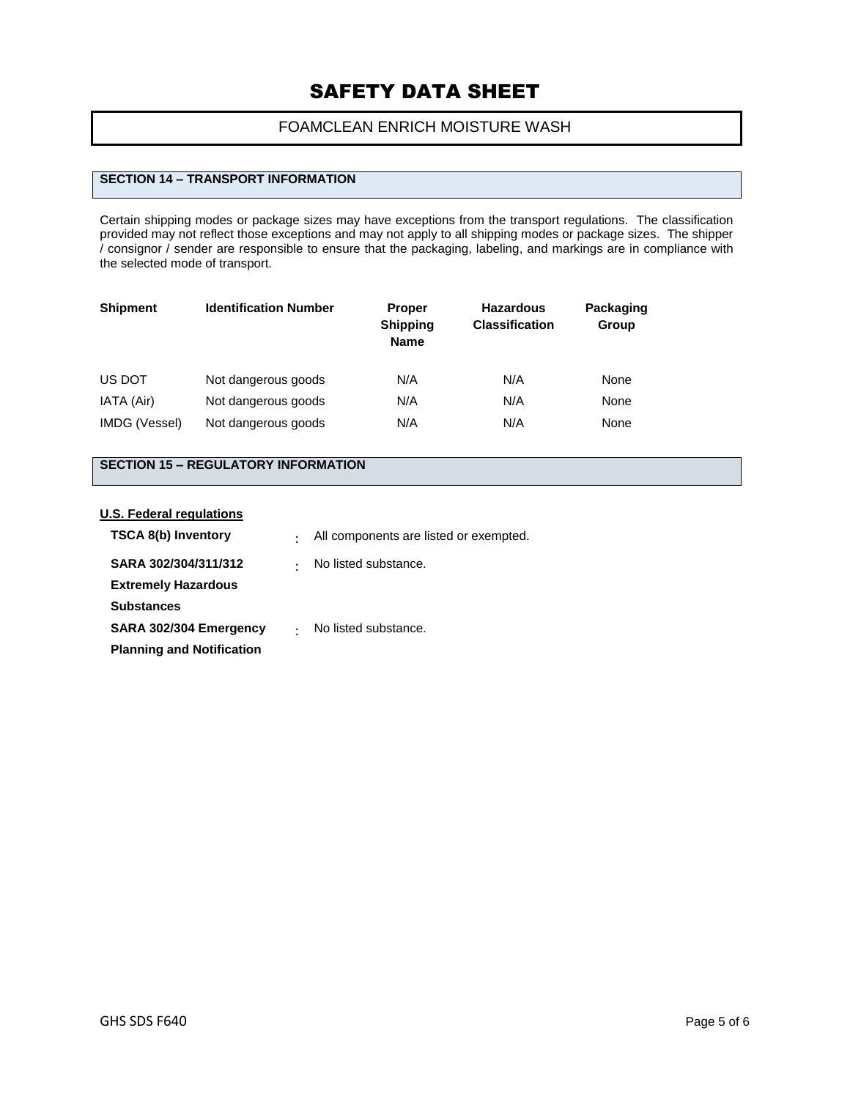## FOAMCLEAN ENRICH MOISTURE WASH

### **SECTION 14 – TRANSPORT INFORMATION**

Certain shipping modes or package sizes may have exceptions from the transport regulations. The classification provided may not reflect those exceptions and may not apply to all shipping modes or package sizes. The shipper / consignor / sender are responsible to ensure that the packaging, labeling, and markings are in compliance with the selected mode of transport.

| <b>Shipment</b> | <b>Identification Number</b> | <b>Proper</b><br><b>Shipping</b><br><b>Name</b> | <b>Hazardous</b><br><b>Classification</b> | Packaging<br>Group |
|-----------------|------------------------------|-------------------------------------------------|-------------------------------------------|--------------------|
| US DOT          | Not dangerous goods          | N/A                                             | N/A                                       | None               |
| IATA (Air)      | Not dangerous goods          | N/A                                             | N/A                                       | None               |
| IMDG (Vessel)   | Not dangerous goods          | N/A                                             | N/A                                       | None               |

# **SECTION 15 – REGULATORY INFORMATION**

#### **U.S. Federal regulations**

| <b>TSCA 8(b) Inventory</b>       | $\bullet$ | All components are listed or exempted. |
|----------------------------------|-----------|----------------------------------------|
| SARA 302/304/311/312             | $\bullet$ | No listed substance.                   |
| <b>Extremely Hazardous</b>       |           |                                        |
| <b>Substances</b>                |           |                                        |
| SARA 302/304 Emergency           |           | No listed substance.                   |
| <b>Planning and Notification</b> |           |                                        |